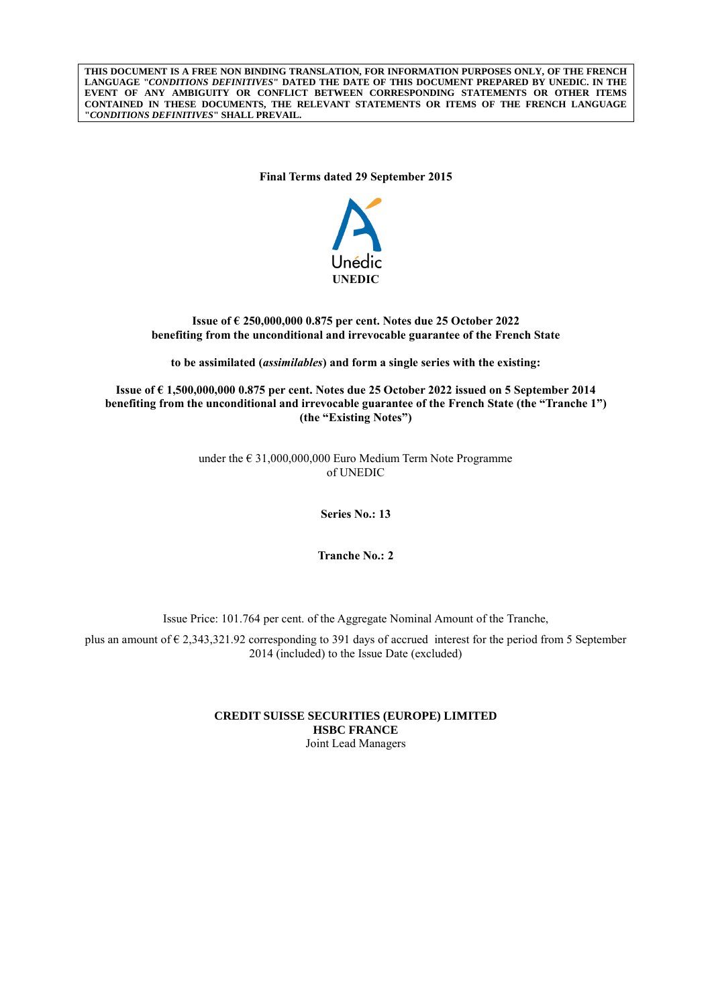**THIS DOCUMENT IS A FREE NON BINDING TRANSLATION, FOR INFORMATION PURPOSES ONLY, OF THE FRENCH LANGUAGE "***CONDITIONS DEFINITIVES***" DATED THE DATE OF THIS DOCUMENT PREPARED BY UNEDIC. IN THE EVENT OF ANY AMBIGUITY OR CONFLICT BETWEEN CORRESPONDING STATEMENTS OR OTHER ITEMS CONTAINED IN THESE DOCUMENTS, THE RELEVANT STATEMENTS OR ITEMS OF THE FRENCH LANGUAGE "***CONDITIONS DEFINITIVES***" SHALL PREVAIL.**

**Final Terms dated 29 September 2015**



## **Issue of € 250,000,000 0.875 per cent. Notes due 25 October 2022 benefiting from the unconditional and irrevocable guarantee of the French State**

**to be assimilated (***assimilables***) and form a single series with the existing:**

**Issue of € 1,500,000,000 0.875 per cent. Notes due 25 October 2022 issued on 5 September 2014 benefiting from the unconditional and irrevocable guarantee of the French State (the "Tranche 1") (the "Existing Notes")**

> under the  $\epsilon$  31,000,000,000 Euro Medium Term Note Programme of UNEDIC

> > **Series No.: 13**

**Tranche No.: 2**

Issue Price: 101.764 per cent. of the Aggregate Nominal Amount of the Tranche,

plus an amount of  $\epsilon$  2,343,321.92 corresponding to 391 days of accrued interest for the period from 5 September 2014 (included) to the Issue Date (excluded)

> **CREDIT SUISSE SECURITIES (EUROPE) LIMITED HSBC FRANCE** Joint Lead Managers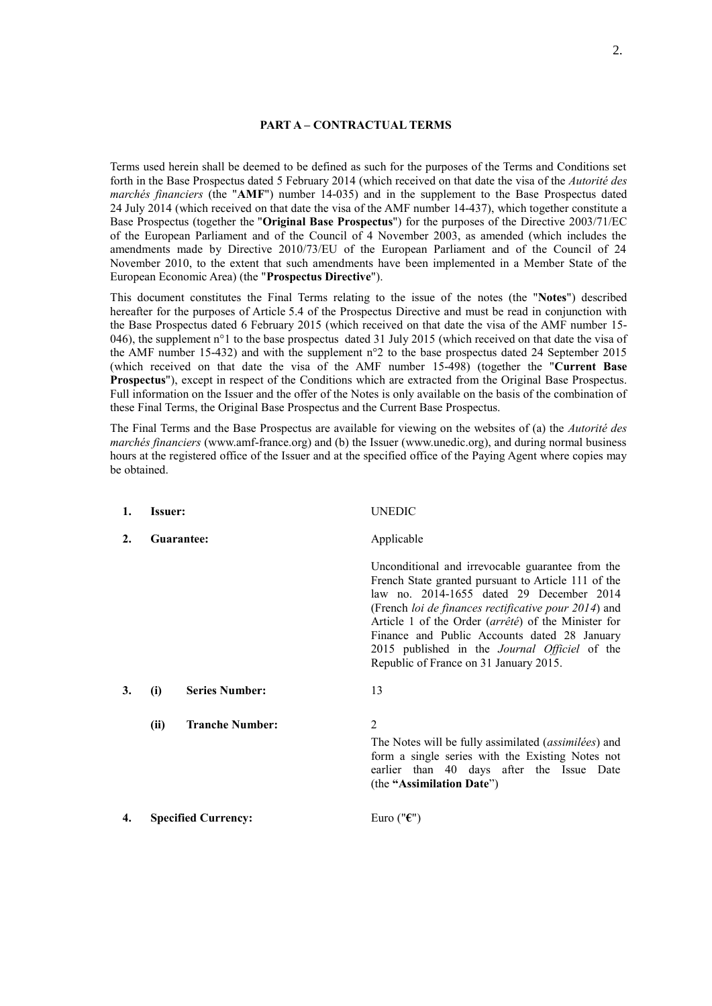## **PART A – CONTRACTUAL TERMS**

Terms used herein shall be deemed to be defined as such for the purposes of the Terms and Conditions set forth in the Base Prospectus dated 5 February 2014 (which received on that date the visa of the *Autorité des marchés financiers* (the "**AMF**") number 14-035) and in the supplement to the Base Prospectus dated 24 July 2014 (which received on that date the visa of the AMF number 14-437), which together constitute a Base Prospectus (together the "**Original Base Prospectus**") for the purposes of the Directive 2003/71/EC of the European Parliament and of the Council of 4 November 2003, as amended (which includes the amendments made by Directive 2010/73/EU of the European Parliament and of the Council of 24 November 2010, to the extent that such amendments have been implemented in a Member State of the European Economic Area) (the "**Prospectus Directive**").

This document constitutes the Final Terms relating to the issue of the notes (the "**Notes**") described hereafter for the purposes of Article 5.4 of the Prospectus Directive and must be read in conjunction with the Base Prospectus dated 6 February 2015 (which received on that date the visa of the AMF number 15- 046), the supplement  $n^{\circ}1$  to the base prospectus dated 31 July 2015 (which received on that date the visa of the AMF number 15-432) and with the supplement n°2 to the base prospectus dated 24 September 2015 (which received on that date the visa of the AMF number 15-498) (together the "**Current Base Prospectus**"), except in respect of the Conditions which are extracted from the Original Base Prospectus. Full information on the Issuer and the offer of the Notes is only available on the basis of the combination of these Final Terms, the Original Base Prospectus and the Current Base Prospectus.

The Final Terms and the Base Prospectus are available for viewing on the websites of (a) the *Autorité des marchés financiers* (www.amf-france.org) and (b) the Issuer (www.unedic.org), and during normal business hours at the registered office of the Issuer and at the specified office of the Paying Agent where copies may be obtained.

| 1. | <b>Issuer:</b> |                            | <b>UNEDIC</b>                                                                                                                                                                                                                                                                                                                                                                                                        |
|----|----------------|----------------------------|----------------------------------------------------------------------------------------------------------------------------------------------------------------------------------------------------------------------------------------------------------------------------------------------------------------------------------------------------------------------------------------------------------------------|
| 2. | Guarantee:     |                            | Applicable                                                                                                                                                                                                                                                                                                                                                                                                           |
|    |                |                            | Unconditional and irrevocable guarantee from the<br>French State granted pursuant to Article 111 of the<br>law no. 2014-1655 dated 29 December 2014<br>(French loi de finances rectificative pour 2014) and<br>Article 1 of the Order (arrêté) of the Minister for<br>Finance and Public Accounts dated 28 January<br>2015 published in the <i>Journal Officiel</i> of the<br>Republic of France on 31 January 2015. |
| 3. | (i)            | <b>Series Number:</b>      | 13                                                                                                                                                                                                                                                                                                                                                                                                                   |
|    | (ii)           | <b>Tranche Number:</b>     | $\overline{2}$<br>The Notes will be fully assimilated ( <i>assimilées</i> ) and<br>form a single series with the Existing Notes not<br>earlier than 40 days after the Issue Date<br>(the "Assimilation Date")                                                                                                                                                                                                        |
| 4. |                | <b>Specified Currency:</b> | Euro (" $\epsilon$ ")                                                                                                                                                                                                                                                                                                                                                                                                |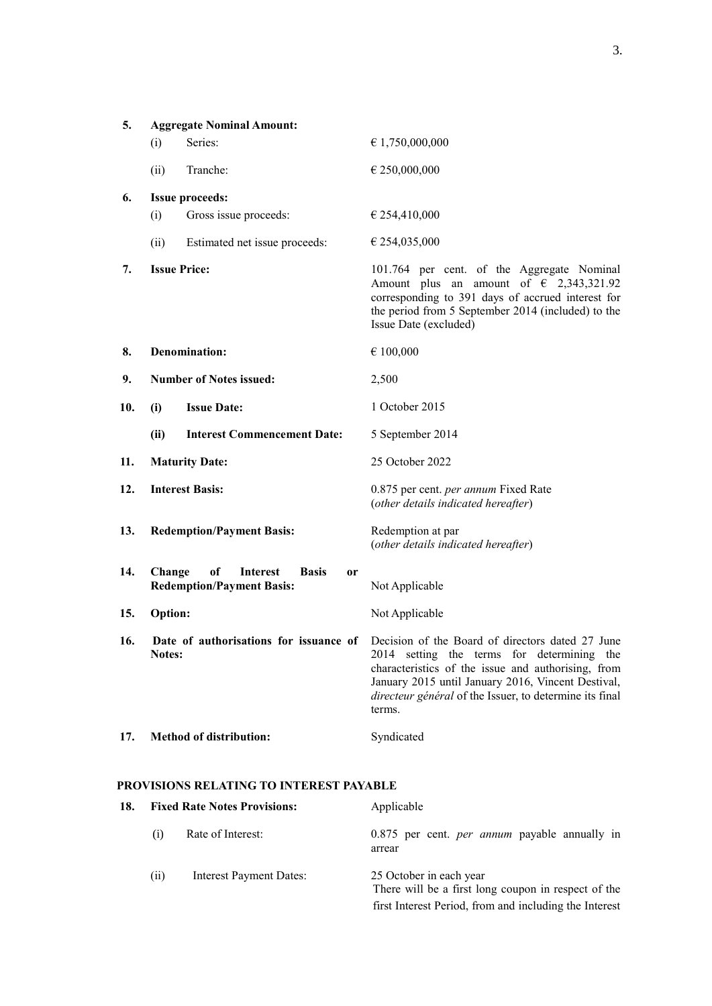| 5.  |                     | <b>Aggregate Nominal Amount:</b>                                                |                                                                                                                                                                                                                                                                                                                        |
|-----|---------------------|---------------------------------------------------------------------------------|------------------------------------------------------------------------------------------------------------------------------------------------------------------------------------------------------------------------------------------------------------------------------------------------------------------------|
|     | (i)                 | Series:                                                                         | € 1,750,000,000                                                                                                                                                                                                                                                                                                        |
|     | (ii)                | Tranche:                                                                        | € 250,000,000                                                                                                                                                                                                                                                                                                          |
| 6.  |                     | <b>Issue proceeds:</b>                                                          |                                                                                                                                                                                                                                                                                                                        |
|     | (i)                 | Gross issue proceeds:                                                           | $\epsilon$ 254,410,000                                                                                                                                                                                                                                                                                                 |
|     | (ii)                | Estimated net issue proceeds:                                                   | $\epsilon$ 254,035,000                                                                                                                                                                                                                                                                                                 |
| 7.  | <b>Issue Price:</b> |                                                                                 | 101.764 per cent. of the Aggregate Nominal<br>Amount plus an amount of $\epsilon$ 2,343,321.92<br>corresponding to 391 days of accrued interest for<br>the period from 5 September 2014 (included) to the<br>Issue Date (excluded)                                                                                     |
| 8.  |                     | <b>Denomination:</b>                                                            | € 100,000                                                                                                                                                                                                                                                                                                              |
| 9.  |                     | <b>Number of Notes issued:</b>                                                  | 2,500                                                                                                                                                                                                                                                                                                                  |
| 10. | (i)                 | <b>Issue Date:</b>                                                              | 1 October 2015                                                                                                                                                                                                                                                                                                         |
|     | (ii)                | <b>Interest Commencement Date:</b>                                              | 5 September 2014                                                                                                                                                                                                                                                                                                       |
| 11. |                     | <b>Maturity Date:</b>                                                           | 25 October 2022                                                                                                                                                                                                                                                                                                        |
| 12. |                     | <b>Interest Basis:</b>                                                          | 0.875 per cent. per annum Fixed Rate<br>(other details indicated hereafter)                                                                                                                                                                                                                                            |
| 13. |                     | <b>Redemption/Payment Basis:</b>                                                | Redemption at par<br>(other details indicated hereafter)                                                                                                                                                                                                                                                               |
| 14. | Change              | of<br><b>Interest</b><br><b>Basis</b><br>or<br><b>Redemption/Payment Basis:</b> | Not Applicable                                                                                                                                                                                                                                                                                                         |
| 15. | Option:             |                                                                                 | Not Applicable                                                                                                                                                                                                                                                                                                         |
| 16. | Notes:              |                                                                                 | Date of authorisations for issuance of Decision of the Board of directors dated 27 June<br>2014 setting the terms for determining the<br>characteristics of the issue and authorising, from<br>January 2015 until January 2016, Vincent Destival,<br>directeur général of the Issuer, to determine its final<br>terms. |
| 17. |                     | <b>Method of distribution:</b>                                                  | Syndicated                                                                                                                                                                                                                                                                                                             |

# **PROVISIONS RELATING TO INTEREST PAYABLE**

| 18. |      | <b>Fixed Rate Notes Provisions:</b> | Applicable                                                                                                                               |
|-----|------|-------------------------------------|------------------------------------------------------------------------------------------------------------------------------------------|
|     | (1)  | Rate of Interest:                   | 0.875 per cent. <i>per annum</i> payable annually in<br>arrear                                                                           |
|     | (11) | Interest Payment Dates:             | 25 October in each year<br>There will be a first long coupon in respect of the<br>first Interest Period, from and including the Interest |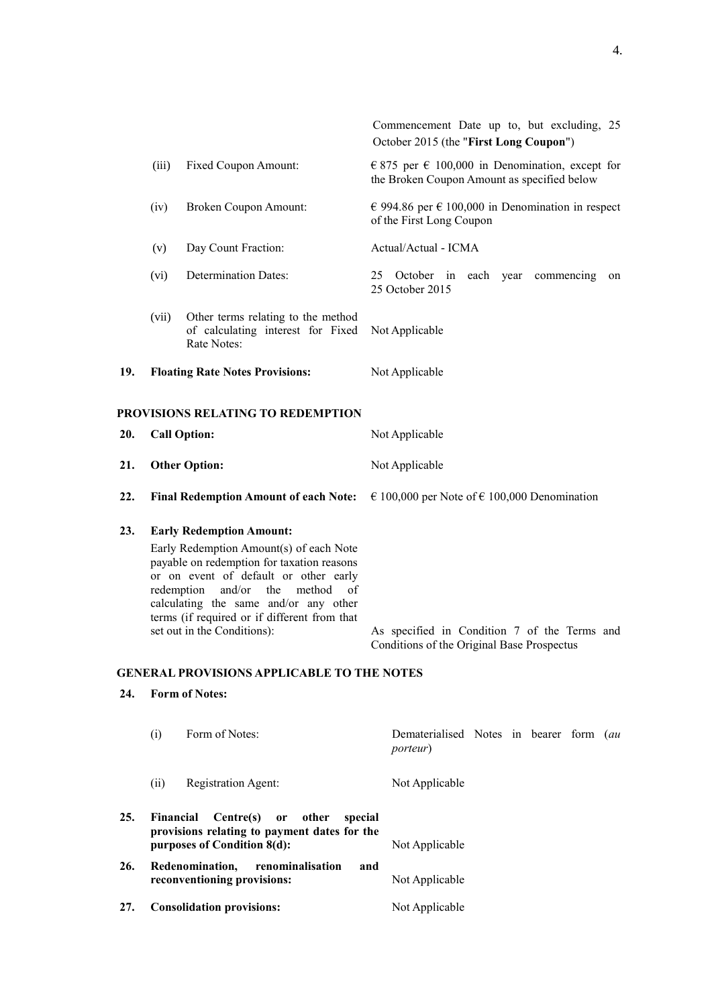|            |                                                                                                                                                                                                                                                                                                                                                                                                                        |                                                                                        | Commencement Date up to, but excluding, 25<br>October 2015 (the "First Long Coupon")           |
|------------|------------------------------------------------------------------------------------------------------------------------------------------------------------------------------------------------------------------------------------------------------------------------------------------------------------------------------------------------------------------------------------------------------------------------|----------------------------------------------------------------------------------------|------------------------------------------------------------------------------------------------|
|            | (iii)                                                                                                                                                                                                                                                                                                                                                                                                                  | Fixed Coupon Amount:                                                                   | € 875 per € 100,000 in Denomination, except for<br>the Broken Coupon Amount as specified below |
|            | (iv)                                                                                                                                                                                                                                                                                                                                                                                                                   | Broken Coupon Amount:                                                                  | € 994.86 per € 100,000 in Denomination in respect<br>of the First Long Coupon                  |
|            | (v)                                                                                                                                                                                                                                                                                                                                                                                                                    | Day Count Fraction:                                                                    | Actual/Actual - ICMA                                                                           |
|            | (vi)                                                                                                                                                                                                                                                                                                                                                                                                                   | <b>Determination Dates:</b>                                                            | 25 October in<br>each year<br>commencing<br>on<br>25 October 2015                              |
|            | (vii)                                                                                                                                                                                                                                                                                                                                                                                                                  | Other terms relating to the method<br>of calculating interest for Fixed<br>Rate Notes: | Not Applicable                                                                                 |
| 19.        |                                                                                                                                                                                                                                                                                                                                                                                                                        | <b>Floating Rate Notes Provisions:</b>                                                 | Not Applicable                                                                                 |
|            |                                                                                                                                                                                                                                                                                                                                                                                                                        | PROVISIONS RELATING TO REDEMPTION                                                      |                                                                                                |
| 20.        |                                                                                                                                                                                                                                                                                                                                                                                                                        | <b>Call Option:</b>                                                                    | Not Applicable                                                                                 |
| 21.        |                                                                                                                                                                                                                                                                                                                                                                                                                        | <b>Other Option:</b>                                                                   | Not Applicable                                                                                 |
| 22.        |                                                                                                                                                                                                                                                                                                                                                                                                                        | <b>Final Redemption Amount of each Note:</b>                                           | € 100,000 per Note of € 100,000 Denomination                                                   |
| 23.<br>24. | <b>Early Redemption Amount:</b><br>Early Redemption Amount(s) of each Note<br>payable on redemption for taxation reasons<br>or on event of default or other early<br>and/or<br>the<br>redemption<br>method<br>of<br>calculating the same and/or any other<br>terms (if required or if different from that<br>set out in the Conditions):<br><b>GENERAL PROVISIONS APPLICABLE TO THE NOTES</b><br><b>Form of Notes:</b> |                                                                                        | As specified in Condition 7 of the Terms and<br>Conditions of the Original Base Prospectus     |
|            | (i)                                                                                                                                                                                                                                                                                                                                                                                                                    | Form of Notes:                                                                         | Dematerialised Notes in bearer form (au<br><i>porteur</i> )                                    |

(ii) Registration Agent: Not Applicable

**purposes of Condition 8(d):** Not Applicable

**reconventioning provisions:** Not Applicable

**27. Consolidation provisions:** Not Applicable

**25. Financial Centre(s) or other special provisions relating to payment dates for the**

**26. Redenomination, renominalisation and** 

4.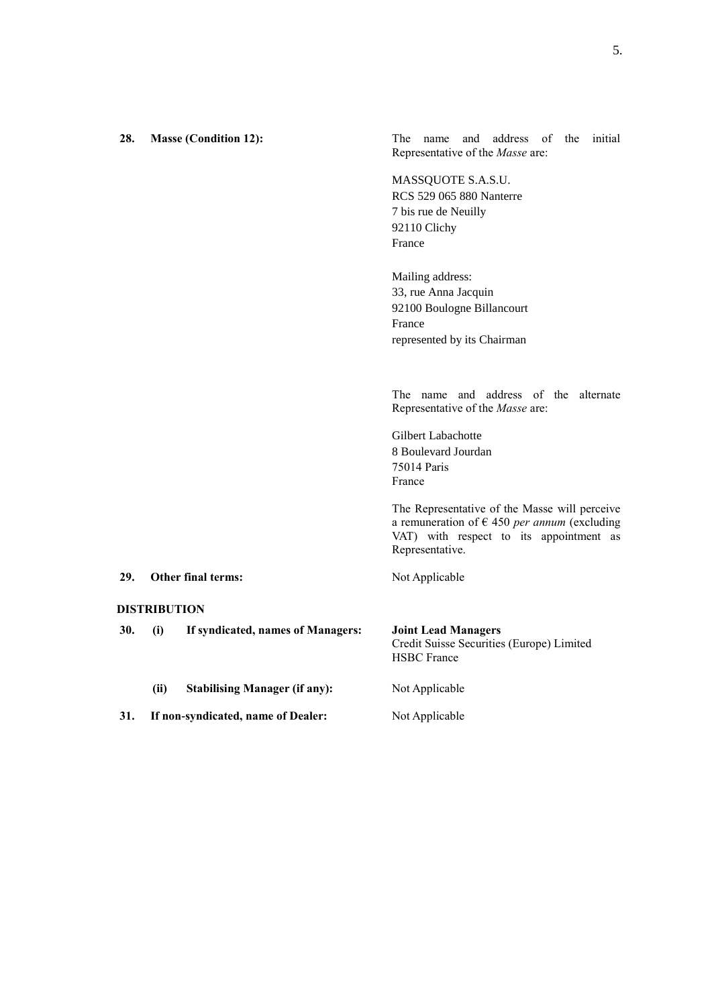| 28. |                     | <b>Masse (Condition 12):</b>         | address of the initial<br>The name and<br>Representative of the Masse are:                    |
|-----|---------------------|--------------------------------------|-----------------------------------------------------------------------------------------------|
|     |                     |                                      | MASSQUOTE S.A.S.U.                                                                            |
|     |                     |                                      | RCS 529 065 880 Nanterre<br>7 bis rue de Neuilly                                              |
|     |                     |                                      | 92110 Clichy                                                                                  |
|     |                     |                                      | France                                                                                        |
|     |                     |                                      | Mailing address:                                                                              |
|     |                     |                                      | 33, rue Anna Jacquin<br>92100 Boulogne Billancourt                                            |
|     |                     |                                      | France                                                                                        |
|     |                     |                                      | represented by its Chairman                                                                   |
|     |                     |                                      |                                                                                               |
|     |                     |                                      | The name and address of the alternate<br>Representative of the Masse are:                     |
|     |                     |                                      | Gilbert Labachotte                                                                            |
|     |                     |                                      | 8 Boulevard Jourdan                                                                           |
|     |                     |                                      | 75014 Paris<br>France                                                                         |
|     |                     |                                      | The Representative of the Masse will perceive                                                 |
|     |                     |                                      | a remuneration of $\epsilon$ 450 per annum (excluding                                         |
|     |                     |                                      | VAT) with respect to its appointment as<br>Representative.                                    |
| 29. |                     | Other final terms:                   | Not Applicable                                                                                |
|     | <b>DISTRIBUTION</b> |                                      |                                                                                               |
| 30. | (i)                 | If syndicated, names of Managers:    | <b>Joint Lead Managers</b><br>Credit Suisse Securities (Europe) Limited<br><b>HSBC</b> France |
|     | (ii)                | <b>Stabilising Manager (if any):</b> | Not Applicable                                                                                |
| 31. |                     | If non-syndicated, name of Dealer:   | Not Applicable                                                                                |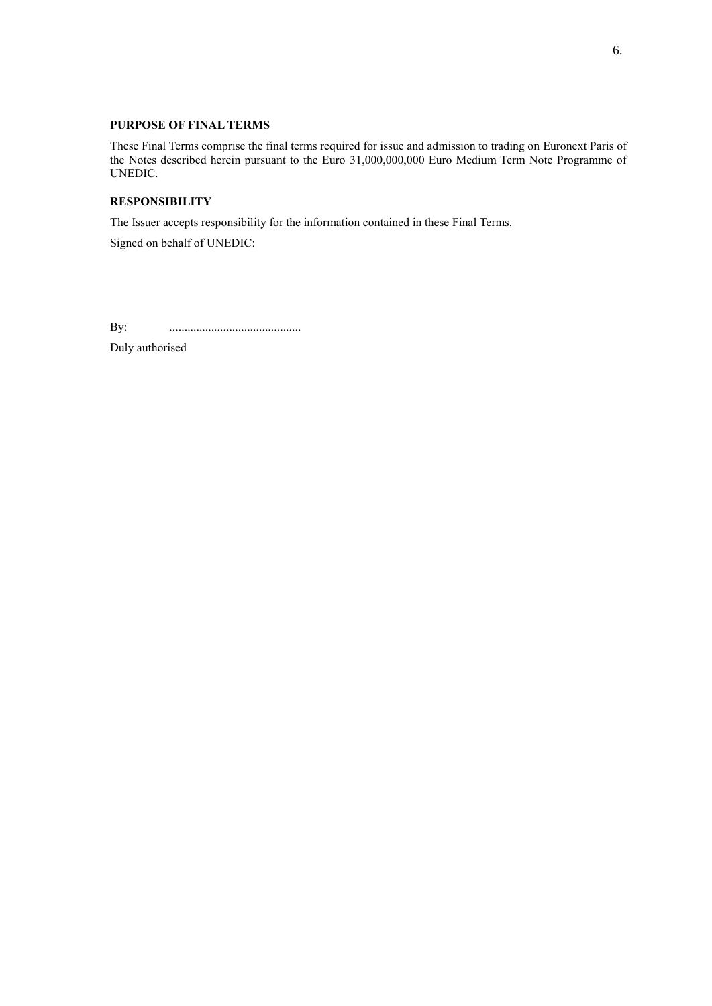# **PURPOSE OF FINAL TERMS**

These Final Terms comprise the final terms required for issue and admission to trading on Euronext Paris of the Notes described herein pursuant to the Euro 31,000,000,000 Euro Medium Term Note Programme of UNEDIC.

## **RESPONSIBILITY**

The Issuer accepts responsibility for the information contained in these Final Terms.

Signed on behalf of UNEDIC:

By: ............................................

Duly authorised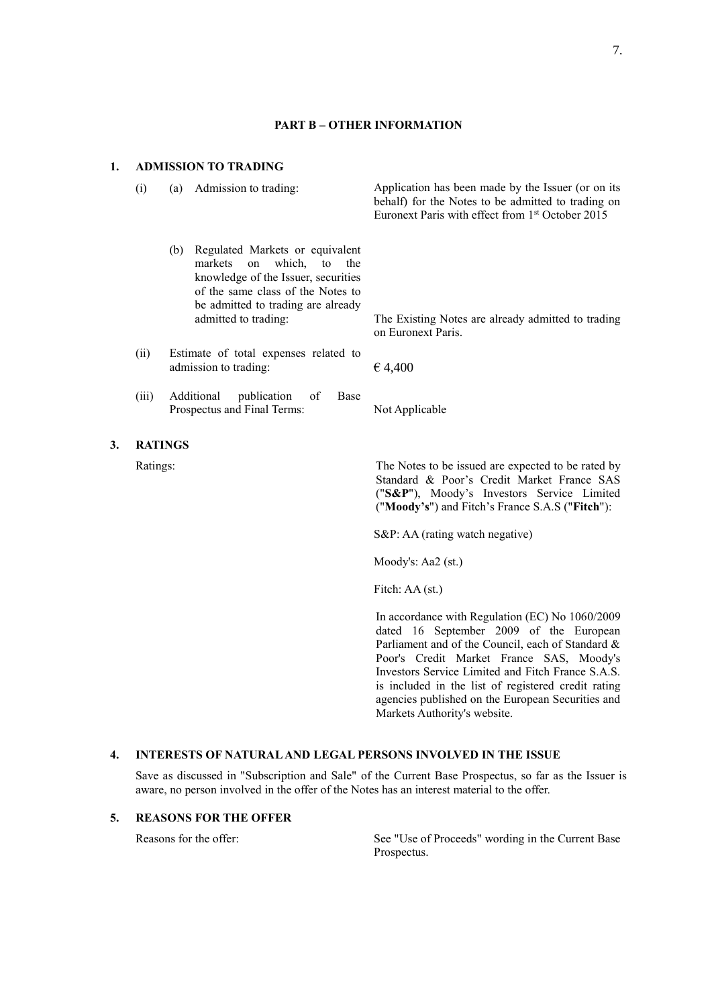### **PART B – OTHER INFORMATION**

#### **1. ADMISSION TO TRADING**

- - (b) Regulated Markets or equivalent markets on which, to the knowledge of the Issuer, securities of the same class of the Notes to be admitted to trading are already
- (ii) Estimate of total expenses related to admission to trading:  $64.400$
- (iii) Additional publication of Base Prospectus and Final Terms: Not Applicable
- **3. RATINGS**

(i) (a) Admission to trading: Application has been made by the Issuer (or on its behalf) for the Notes to be admitted to trading on Euronext Paris with effect from 1 st October 2015

> admitted to trading: The Existing Notes are already admitted to trading on Euronext Paris.

Ratings: The Notes to be issued are expected to be rated by Standard & Poor's Credit Market France SAS ("**S&P**"), Moody's Investors Service Limited ("**Moody's**") and Fitch's France S.A.S ("**Fitch**"):

S&P: AA (rating watch negative)

Moody's: Aa2 (st.)

Fitch: AA (st.)

In accordance with Regulation (EC) No 1060/2009 dated 16 September 2009 of the European Parliament and of the Council, each of Standard & Poor's Credit Market France SAS, Moody's Investors Service Limited and Fitch France S.A.S. is included in the list of registered credit rating agencies published on the European Securities and Markets Authority's website.

#### **4. INTERESTS OF NATURAL AND LEGAL PERSONS INVOLVED IN THE ISSUE**

Save as discussed in "Subscription and Sale" of the Current Base Prospectus, so far as the Issuer is aware, no person involved in the offer of the Notes has an interest material to the offer.

## **5. REASONS FOR THE OFFER**

Reasons for the offer: See "Use of Proceeds" wording in the Current Base Prospectus.